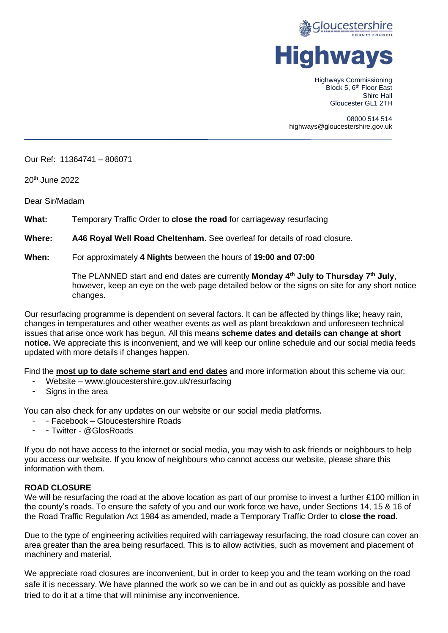

Highways Commissioning Block 5, 6<sup>th</sup> Floor East Shire Hall Gloucester GL1 2TH

08000 514 514 highways@gloucestershire.gov.uk

Our Ref: 11364741 – 806071

20th June 2022

Dear Sir/Madam

**What:** Temporary Traffic Order to **close the road** for carriageway resurfacing

**Where: A46 Royal Well Road Cheltenham**. See overleaf for details of road closure.

#### **When:** For approximately **4 Nights** between the hours of **19:00 and 07:00**

The PLANNED start and end dates are currently **Monday 4th July to Thursday 7th July**, however, keep an eye on the web page detailed below or the signs on site for any short notice changes.

Our resurfacing programme is dependent on several factors. It can be affected by things like; heavy rain, changes in temperatures and other weather events as well as plant breakdown and unforeseen technical issues that arise once work has begun. All this means **scheme dates and details can change at short notice.** We appreciate this is inconvenient, and we will keep our online schedule and our social media feeds updated with more details if changes happen.

Find the **most up to date scheme start and end dates** and more information about this scheme via our:

- Website www.gloucestershire.gov.uk/resurfacing
- Signs in the area

You can also check for any updates on our website or our social media platforms.

- - Facebook Gloucestershire Roads
- Twitter @GlosRoads

If you do not have access to the internet or social media, you may wish to ask friends or neighbours to help you access our website. If you know of neighbours who cannot access our website, please share this information with them.

### **ROAD CLOSURE**

We will be resurfacing the road at the above location as part of our promise to invest a further £100 million in the county's roads. To ensure the safety of you and our work force we have, under Sections 14, 15 & 16 of the Road Traffic Regulation Act 1984 as amended, made a Temporary Traffic Order to **close the road**.

Due to the type of engineering activities required with carriageway resurfacing, the road closure can cover an area greater than the area being resurfaced. This is to allow activities, such as movement and placement of machinery and material.

We appreciate road closures are inconvenient, but in order to keep you and the team working on the road safe it is necessary. We have planned the work so we can be in and out as quickly as possible and have tried to do it at a time that will minimise any inconvenience.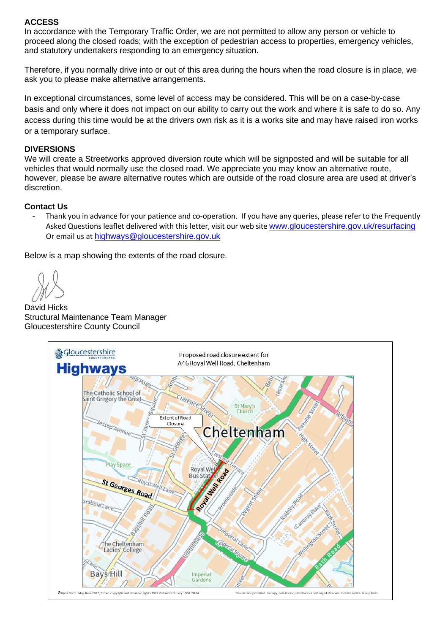# **ACCESS**

In accordance with the Temporary Traffic Order, we are not permitted to allow any person or vehicle to proceed along the closed roads; with the exception of pedestrian access to properties, emergency vehicles, and statutory undertakers responding to an emergency situation.

Therefore, if you normally drive into or out of this area during the hours when the road closure is in place, we ask you to please make alternative arrangements.

In exceptional circumstances, some level of access may be considered. This will be on a case-by-case basis and only where it does not impact on our ability to carry out the work and where it is safe to do so. Any access during this time would be at the drivers own risk as it is a works site and may have raised iron works or a temporary surface.

### **DIVERSIONS**

We will create a Streetworks approved diversion route which will be signposted and will be suitable for all vehicles that would normally use the closed road. We appreciate you may know an alternative route, however, please be aware alternative routes which are outside of the road closure area are used at driver's discretion.

### **Contact Us**

- Thank you in advance for your patience and co-operation. If you have any queries, please refer to the Frequently Asked Questions leaflet delivered with this letter, visit our web site [www.gloucestershire.gov.uk/resurfacing](http://www.gloucestershire.gov.uk/resurfacing) Or email us at [highways@gloucestershire.gov.uk](mailto:highways@gloucestershire.gov.uk)

Below is a map showing the extents of the road closure.

David Hicks Structural Maintenance Team Manager Gloucestershire County Council